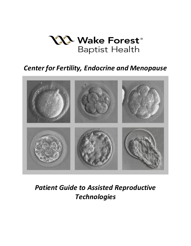

## *Center for Fertility, Endocrine and Menopause*



# *Patient Guide to Assisted Reproductive Technologies*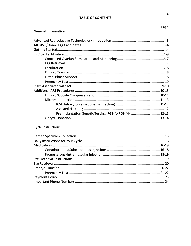## **TABLE OF CONTENTS**

#### Page

 $\overline{2}$ 

| Ι. | <b>General Information</b> |
|----|----------------------------|
|    |                            |

| Preimplantation Genetic Testing (PGT-A/PGT-M)  12-13 |  |
|------------------------------------------------------|--|
|                                                      |  |

#### $\overline{\mathsf{H}}$  . Cycle Instructions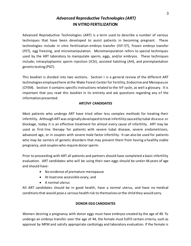## *Advanced Reproductive Technologies(ART)* **IN VITRO FERTILIZATION**

Advanced Reproductive Technologies (ART) is a term used to describe a number of various techniques that have been developed to assist patients in becoming pregnant. These technologies include in vitro fertilization-embryo transfer (IVF-ET), frozen embryo transfer (FET), egg freezing, and micromanipulation. Micromanipulation refers to special techniques used by the ART laboratory to manipulate sperm, eggs, and/or embryos. These techniques include; intracytoplasmic sperm injection (ICSI), assisted hatching (AH), and preimplantation genetic testing (PGT).

This booklet is divided into two sections. Section I is a general review of the different ART technologies employed here at the Wake Forest Center for Fertility, Endocrine and Menopause (CFEM). Section II contains specific instructions related to the IVF cycle, as well a glossary. It is important that you read this booklet in its entirety and ask questions regarding any of the information presented.

#### **ART/IVF CANDIDATES**

Most patients who undergo ART have tried other less complex methods for treating their infertility. Although ART was originally developed to treat infertility caused by tubal disease or blockage, today it is an effective treatment for almost every cause of infertility. ART may be used as first-line therapy for patients with severe tubal disease, severe endometriosis, advanced age, or in couples with severe male factor infertility. It can also be used for patients who may be carriers of genetic disorders that may prevent them from having a healthy viable pregnancy, and couples who require donor sperm.

Prior to proceeding with ART all patients and partners should have completed a basic infertility evaluation. ART candidates who will be using their own eggs should be under 44 years of age and should have:

- No evidence of premature menopause
- At least one accessible ovary, and
- A normal uterus

All ART candidates should be in good health, have a normal uterus, and have no medical conditions that would pose a serious health risk to themselves or the child they would carry.

#### **DONOR EGG CANDIDATES**

Women desiring a pregnancy with donor eggs must have embryos created by the age of 49. To undergo an embryo transfer over the age of 44, the female must fulfill certain criteria, such as approval by MFM and satisfy appropriate cardiology and laboratory evaluation. If the female is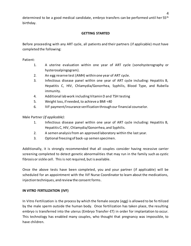determined to be a good medical candidate, embryo transfers can be performed until her 55<sup>th</sup> birthday.

#### **GETTING STARTED**

Before proceeding with any ART cycle, all patients and their partners (if applicable) must have completed the following:

Patient:

- 1. A uterine evaluation within one year of ART cycle (sonohysterography or hysterosalpingogram).
- 2. An egg reserve test (AMH) within one year of ART cycle.
- 3. Infectious disease panel within one year of ART cycle including: Hepatitis B, Hepatitis C, HIV, Chlamydia/Gonorrhea, Syphilis, Blood Type, and Rubella immunity.
- 4. Additional lab work including Vitamin D and TSH testing
- 5. Weight loss, if needed, to achieve a BMI <40
- 6. IVF payment/insurance verification through our financial counselor.

Male Partner *(if applicable)*:

- 1. Infectious disease panel within one year of ART cycle including: Hepatitis B, Hepatitis C, HIV, Chlamydia/Gonorrhea, and Syphilis.
- 2. A semen analysis from an approved laboratory within the last year.
- 3. Optional freezing of back-up semen specimen.

Additionally, it is strongly recommended that all couples consider having recessive carrier screening completed to detect genetic abnormalities that may run in the family such as cystic fibrosis or sickle cell. This is not required, but is available.

Once the above tests have been completed, you and your partner (if applicable) will be scheduled for an appointment with the IVF Nurse Coordinator to learn about the medications, injection techniques, and review the consent forms.

#### **IN VITRO FERTILIZATION (IVF)**

In Vitro Fertilization is the process by which the female oocyte (egg) is allowed to be fe rtilized by the male sperm outside the human body. Once fertilization has taken place, the resulting embryo is transferred into the uterus (Embryo Transfer-ET) in order for implantation to occur. This technology has enabled many couples, who thought that pregnancy was impossible, to have children.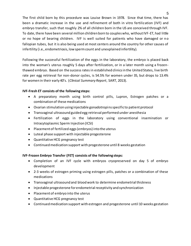The first child born by this procedure was Louise Brown in 1978. Since that time, there has been a dramatic increase in the use and refinement of both in vitro fertilization (IVF) and embryo transfer, such that roughly 2% of all children born in the US are conceived through IVF. To date, there have been several million children born to couples who, without IVF-ET, had little or no hope of bearing children. IVF is well suited for patients who have damaged or n o fallopian tubes, but it is also being used at most centers around the country for other causes of infertility (i.e., endometriosis, low sperm count and unexplained infertility).

Following the successful fertilization of the eggs in the laboratory, the embryo is placed back into the woman's uterus roughly 5 days after fertilization, or in a later month using a frozenthawed embryo. Based on the success rates in established clinics in the United States, live birth rate per egg retrieval for non-donor cycles, is 54.5% for women under 35, but drops to 13.4% for women in their early 40's. (*Clinical Summary Report*, SART, 2013).

#### **IVF-Fresh ET consists of the following steps:**

- A preparatory month using birth control pills, Lupron, Estrogen patches or a combination of these medications
- Ovarian stimulation using injectable gonadotropins specific to patient protocol
- Transvaginal ultrasound guided egg retrieval performed under anesthesia
- Fertilization of eggs in the laboratory using conventional insemination or Intracytoplasmic Sperm Injection (ICSI)
- Placement of fertilized eggs (embryos) into the uterus
- Luteal phase support with injectable progesterone
- Quantitative HCG pregnancy test
- Continued medication support with progesterone until 8 weeks gestation

### **IVF-Frozen Embryo Transfer (FET) consists of the following steps:**

- Completion of an IVF cycle with embryos cryopreserved on day 5 of embryo development
- 2-3 weeks of estrogen priming using estrogen pills, patches or a combination of these medications
- Transvaginal ultrasound and blood work to determine endometrial thickness
- Injectable progesterone for endometrial receptivity and synchronization
- Placement of embryo into the uterus
- Quantitative HCG pregnancy test
- Continued medication support with estrogen and progesterone until 10 weeks gestation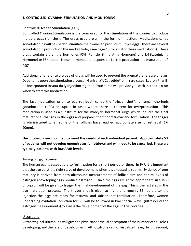#### **1. CONTROLLED OVARIAN STIMULATION AND MONITORING**

#### Controlled Ovarian Stimulation (COS):

Controlled Ovarian Stimulation is the term used for the stimulation of the ovaries to produce multiple eggs (follicles). The drugs used are all in the form of injection. Medications called gonadotropins will be used to stimulate the ovaries to produce multiple eggs. There are several gonadotropin products on the market today (see page 16 for a list of these medications). These drugs contain either the hormones FSH (Follicle Stimulating Hormone) and LH (Luteinizing Hormone) or FSH alone. These hormones are responsible for the production and maturation of eggs.

Additionally, one of two types of drugs will be used to prevent the premature release of eggs. Depending upon the stimulation protocol, Ganirelix®/Cetrotide® or in rare cases, Lupron ®, will be incorporated in your daily injection regimen. Your nurse will provide you with instruction on when to start this medication.

The last medication prior to egg retrieval, called the "trigger shot", is human chorionic gonadotropin (hCG) or Lupron in cases where there is concern for overproduction. This medication is used as a substitute for the midcycle hormonal surge which induces the final maturational changes in the eggs and prepares them for retrieval and fertilization. The trigger is administered when some of the follicles have reached appropriate size for retrieval (17- 20mm).

**Our protocols are modified to meet the needs of each individual patient. Approximately 5% of patients will not develop enough eggs for retrieval and will need to be cancelled. These are typically patients with low AMH levels.** 

#### Timing of Egg Retrieval:

The human egg is susceptible to fertilization for a short period of time. In IVF, it is important that the egg be at the right stage of development when it is exposed to sperm. Evidence of egg maturity is derived from both ultrasound measurements of follicle size and serum levels of estrogen (developing eggs produce estrogen). Once the eggs are at the appropriate size, hCG or Lupron will be given to trigger the final development of the egg. This is the last step in the egg maturation process. The trigger shot is given at night, and roughly 36 hours after the injection the eggs are ready for retrieval and subsequent fertilization. Therefore, women undergoing ovulation induction for IVF will be followed in two special ways, (ultrasound and estrogen measurements) to assess the development of the eggs in their ovaries.

#### Ultrasound:

A transvaginal ultrasound will give the physicians a visual description of the number of follicles developing, and the rate of development. Although one cannot visualize the egg by ultrasound,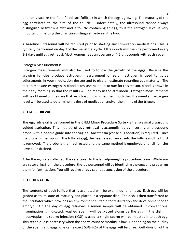one can visualize the fluid filled sac (follicle) in which the egg is growing. The maturity of the egg correlates to the size of the follicle. Unfortunately, the ultrasound cannot always distinguish between a cyst and a follicle containing an egg; thus the estrogen level is very important in helping the physician distinguish between the two.

A baseline ultrasound will be required prior to starting any stimulation medications. This is typically performed on day 2 of the menstrual cycle. Ultrasounds will then be performed every 2-3 days until egg retrieval. Most women need an average of 4-5 ultrasounds with each cycle.

#### Estrogen Measurements:

Estrogen measurements will also be used to follow the growth of the eggs. Because the growing follicles produce estrogen, measurement of serum estrogen is used to guide adjustments in your medication dosage and to give an estimate regarding egg maturity. The test to measure estrogen in blood takes several hours to run; for this reason, blood is drawn in the early morning so that the results will be ready in the afternoon. Estrogen measurements will be obtained on the days that an ultrasound is scheduled. Both the ultrasound and estrogen level will be used to determine the dose of medication and/or the timing of the trigger.

#### **2. EGG RETRIEVAL**

The egg retrieval is performed in the CFEM Minor Procedure Suite via transvaginal ultrasound guided aspiration. This method of egg retrieval is accomplished by inserting an ultrasound probe with a needle guide into the vagina. Anesthesia (conscious sedation) is required. Once the probe is lined up with the follicle (egg), the needle is advanced into the follicle and the fluid is removed. The probe is then redirected and the same method is employed until all follicles have been drained.

After the eggs are collected, they are taken to the lab adjoining the procedure room. While you are recovering from the procedure, the lab personnel will be identifying the eggs and preparing them for fertilization. You will receive an egg count at conclusion of the procedure.

#### **3. FERTILIZATION**

The contents of each follicle that is aspirated will be examined for an egg. Each egg will be graded as to its state of maturity and placed in a separate dish. The dish is then transferred to the incubator which provides an environment suitable for fertilization and development of an embryo. On the day of egg retrieval, a semen sample will be obtained. If conventional insemination is indicated, washed sperm will be placed alongside the egg in the dish. If intracytoplasmic sperm injection (ICSI) is used, a single sperm will be injected into each egg. This technique is necessary when the sperm count or motility is low. Depending on the quality of the sperm and eggs, one can expect 50%-70% of the eggs will fertilize. Cell division of the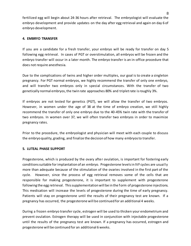fertilized egg will begin about 24-36 hours after retrieval. The embryologist will evaluate the embryo development and provide updates on the day after egg retrieval and again on day 6 of embryo development.

#### **4. EMBRYO TRANSFER**

If you are a candidate for a fresh transfer, your embryo will be ready for transfer on day 5 following egg retrieval. In cases of PGT or overstimulation, all embryos will be frozen and the embryo transfer will occur in a later month. The embryo transfer is an in-office procedure that does not require anesthesia.

Due to the complications of twins and higher order multiples, our goal is to create a singleton pregnancy. For PGT normal embryos, we highly recommend the transfer of only one embryo, and will transfer two embryos only in special circumstances. With the transfer of two genetically normal embryos, the twin rate approaches 80% and triplet rate is roughly 3%.

If embryos are not tested for genetics (PGT), we will allow the transfer of two embryos. However, in women under the age of 38 at the time of embryo creation, we still highly recommend the transfer of only one embryo due to the 40-45% twin rate with the transfer of two embryos. In women over 37, we will often transfer two embryos in order to maximize pregnancy rates.

Prior to the procedure, the embryologist and physician will meet with each couple to discuss the embryo quality, grading, and finalize the decision of how many embryos to transfer.

#### **5. LUTEAL PHASE SUPPORT**

Progesterone, which is produced by the ovary after ovulation, is important for fostering early conditions suitable for implantation of an embryo. Progesterone levels in IVF cycles are usually more than adequate because of the stimulation of the ovaries involved in the first part of the cycle. However, since the process of egg retrieval removes some of the cells that are responsible for making progesterone, it is important to supplement with progesterone following the egg retrieval. This supplementation will be in the form of progesterone injections. This medication will increase the levels of progesterone during the time of early pregnancy. Patients will stay on progesterone until the results of their pregnancy test are known. If a pregnancy has occurred, the progesterone will be continued for an additional 4 weeks.

During a frozen embryo transfer cycle, estrogen will be used to thicken your endometrium and prevent ovulation. Estrogen therapy will be used in conjunction with injectable progesterone until the results of the pregnancy test are known. If a pregnancy has occurred, estrogen and progesterone will be continued for an additional 6 weeks.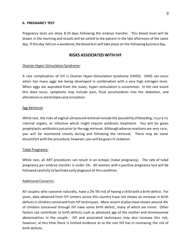#### **6. PREGNANCY TEST**

Pregnancy tests are done 8-10 days following the embryo transfer. This blood level will be drawn in the morning and results will be called to the patient in the late afternoon of the same day. If this day falls on a weekend, the blood test will take place on the following business day.

#### **RISKS ASSOCIATED WITH IVF**

#### Ovarian Hyper-Stimulation Syndrome:

A rare complication of IVF is Ovarian Hyper-Stimulation Syndrome (OHSS). OHSS can occur when too many eggs are being developed in combination with a very high estrogen level. When eggs are aspirated from the ovary, hyper-stimulation is uncommon. In the rare event this does occur, symptoms may include pain, fluid accumulation into the abdomen, and alterations in electrolytes and circulation.

#### Egg Retrieval:

While rare, the risks of vaginal ultrasound retrieval include the possibility of bleeding, injury to internal organs, or infection which might require antibiotic treatment. You will be given prophylactic antibiotics just prior to the egg retrieval. Although adverse reactions are very rare, you will be monitored closely during and following the retrieval. There may be some discomfort with the procedure; however, you will be given IV sedation.

#### Tubal Pregnancy:

While rare, all ART procedures can result in an ectopic (tubal pregnancy). The rate of tubal pregnancy per embryo transfer is under 1%. All women with a positive pregnancy test will be followed carefully to facilitate early diagnosis of this condition.

#### Additional Concerns:

All couples who conceive naturally, have a 2%-5% risk of having a child with a birth defect. For years, data obtained from IVF centers across this country have not shown an increase in birth defects in children conceived from IVF techniques. More recent studies have shown around 4% of children conceived through IVF have some birth defect, many of which are minor. Other factors can contribute to birth defects such as advanced age of the mother and chromosomal abnormalities in the couple. IVF and associated techniques may also increase this risk; however, at this time there is limited evidence as to the role IVF has in increasing the risk of birth defects.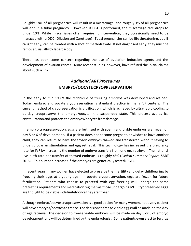Roughly 18% of all pregnancies will result in a miscarriage, and roughly 1% of all pregnancies will end in a tubal pregnancy. However, if PGT is performed, the miscarriage rate drops to under 10%. While miscarriages often require no intervention, they occasionally need to be managed with a D&C (Dilation and Curettage). Tubal pregnancies can be life threatening, but if caught early, can be treated with a shot of methotrexate. If not diagnosed early, they must be removed, usually by laparoscopy.

There has been some concern regarding the use of ovulation induction agents and the development of ovarian cancer. More recent studies, however, have refuted the initial claims about such a link.

## *Additional ART Procedures* **EMBRYO/OOCYTECRYOPRESERVATION**

In the early to mid 1990's the technique of freezing embryos was developed and refined. Today, embryo and oocyte cryopreservation is standard practice in many IVF centers. The current method of cryopreservation is vitrification, which is achieved by ultra-rapid cooling to quickly cryopreserve the embryo/oocyte in a suspended state. This process avoids ice crystallization and protects the embryos/oocytesfrom damage.

In embryo cryopreservation, eggs are fertilized with sperm and viable embryos are frozen on day 5 or 6 of development. If a patient does not become pregnant, or wishes to have another child, they can return to have the frozen embryos thawed and transferred without having to undergo ovarian stimulation and egg retrieval. This technology has increased the pregnancy rate for IVF by increasing the number of embryo transfers from one egg retrieval. The national live birth rate per transfer of thawed embryos is roughly 45% (*Clinical Summary Report,* SART 2016). This number increasesif the embryos are genetically tested (PGT).

In recent years, many women have elected to preserve their fertility and delay childbearing by freezing their eggs at a young age. In oocyte cryopreservation, eggs are frozen for future fertilization. Patients who choose to proceed with egg freezing will undergo the same pretesting requirements and medication regimen as those undergoing IVF. Cryopreserved eggs are thought to be viable indefinitely once they are frozen.

Although embryo/oocyte cryopreservation is a good option for many women, not every patient will have embryos/oocytesto freeze. The decision to freeze viable eggs will be made on the day of egg retrieval. The decision to freeze viable embryos will be made on day 5 or 6 of embryo development, and will be determined by the embryologist. Some patients even elect to fertilize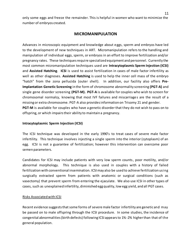only some eggs and freeze the remainder. This is helpful in women who want to minimize the number of embryos created.

#### **MICROMANIPULATION**

Advances in microscopic equipment and knowledge about eggs, sperm and embryos have led to the development of new techniques in ART. Micromanipulation refers to the handling and manipulation of individual eggs, sperm, or embryos in an effort to improve fertilization and/or pregnancy rates. These techniques require specialized equipment and personnel. Currently the most common micromanipulation techniques used are **Intracytoplasmic Sperm Injection (ICSI)** and **Assisted Hatching**. **ICSI** is used to assist fertilization in cases of male factor infertility as well as other diagnoses. **Assisted Hatching** is used to help the inner cell mass of the embryo "hatch" from the zona pellucida (outer shell). In addition, our facility also offers **Pre-Implantation Genetic Screening** in the form of chromosome abnormality screening **(PGT-A)** and single gene disorder screening **(PGT-M). PGT-A** is available for couples who wish to screen for chromosomal normalcy, knowing that most IVF failures and miscarriages are the result of a missing or extra chromosome. PGT-A also provides information on Trisomy 21 and gender. **PGT-M** is available for couples who have a genetic disorder that they do not wish to pass on to offspring, or which impairs their ability to maintain a pregnancy.

#### **Intracytoplasmic Sperm Injection (ICSI)**

The ICSI technique was developed in the early 1990's to treat cases of severe male factor infertility. This technique involves injecting a single sperm into the interior (cytoplasm) of an egg. ICSI is not a guarantee of fertilization; however this intervention can overcome poor semen parameters.

Candidates for ICSI may include patients with very low sperm counts, poor motility, and/or abnormal morphology. This technique is also used in couples with a history of failed fertilization with conventional insemination. ICSI may also be used to achieve fertilization using surgically extracted sperm from patients with anatomic or surgical conditions (such as vasectomy) that prevent sperm from entering the ejaculate. We also use ICSI in other types of cases, such as unexplained infertility, diminished egg quality, low egg yield, and all PGT cases.

#### Risks Associated with ICSI

Recent evidence suggests that some forms of severe male factor infertility are genetic and may be passed on to male offspring through the ICSI procedure. In some studies, the incidence of congenital abnormalities (birth defects) following ICSI appears to 1%-2% higher than that of the general population.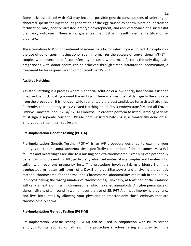Some risks associated with ICSI may include: possible genetic consequences of selecting an abnormal sperm for injection, degeneration of the egg caused by sperm injection, decreased fertilization rate, poor or arrested embryo development, and reduced chance of a successful pregnancy outcome. There is no guarantee that ICSI will result in either fertilization or pregnancy.

The alternatives to ICSI for treatment of severe male factor infertility are limited. One option is the use of donor sperm. Using donor sperm normalizes the success of conventional IVF -ET in couples with severe male factor infertility. In cases where male factor is the only diagnosis, pregnancies with donor sperm can be achieved through timed intrauterine insemination, a treatment far less expensive and complicated than IVF-ET.

#### **Assisted Hatching**

Assisted Hatching is a process wherein a special solution or a low-energy laser beam is used to dissolve the thick coating around the embryo. There is a small risk of damage to the embryos from the procedure. It is not clear which patients are the best candidates for assisted hatching. Currently, the laboratory uses Assisted Hatching on all Day 3 embryo transfers and all Frozen Embryo Transfers (non PGT-A/PGT-M embryos). In order to perform Assisted Hatching patients must sign a separate consent. Please note, assisted hatching is automatically done on all embryos undergoing genetic testing.

#### **Pre-Implantation Genetic Testing (PGT-A)**

Pre-Implantation Genetic Testing (PGT-A) is an IVF procedure designed to examine your embryos for chromosomal abnormalities, specifically the number of chromosomes. Most IV F failures and miscarriages are due to a missing or extra chromosome. Screening can potentially benefit all who present for IVF, particularly advanced maternal age couples and families who suffer with recurrent pregnancy loss. This procedure involves taking a biopsy from the trophectoderm (outer cell layer) of a Day 5 embryo (Blastocyst) and analyzing the genetic material chromosomal for abnormalities. Chromosomal abnormalities can result in aneuploidy (embryos having the wrong number of chromosomes). Typically, at least half of the embryos will carry an extra or missing chromosome, which is called aneuploidy. A higher percentage of abnormality is often found in women over the age of 35. PGT-A aims at improving pregnancy and live birth rates by allowing your physician to transfer only those embryos that are chromosomally normal.

#### **Pre-Implantation Genetic Testing (PGT-M)**

Pre-Implantation Genetic Testing (PGT-M) can be used in conjunction with IVF to screen embryos for genetic abnormalities. This procedure involves taking a biopsy from the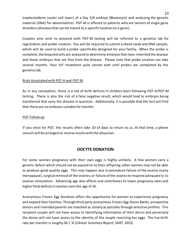trophectoderm (outer cell layer) of a Day 5/6 embryo (Blastocyst) and analyzing the genetic material (DNA) for abnormalities. PGT-M is offered to patients who are carriers of single gene disorders (diseases that can be traced to a specific location on a gene).

Couples who wish to proceed with PGT-M testing will be referred to a genetics lab for registration and probe creation. You will be required to submit a cheek swab and DNA sample, which will be used to build a probe specifically designed for your family. When the probe is complete, the biopsied cells are analyzed to determine embryos that have inherited the disease and those embryos that are free from the disease. Please note that probe creation can take several months. Your IVF treatment cycle cannot start until probes are completed by the genetics lab.

#### Risks Associated with PGT-A and PGT-M

As in any conception, there is a risk of birth defects in children born following PGT-A/PGT-M testing. There is also the risk of a false negative result, which would lead to embryos being transferred that carry the disease in question. Additionally, it is possible that the test will find that there are no embryos suitable for transfer.

#### PGT Follow up

If you elect for PGT, the results often take 10-14 days to return to us. At that time, a phone consult will be arranged to review results with the physician.

## **OOCYTE DONATION**

For some women pregnancy with their own eggs is highly unlikely. A few women carry a genetic defect which should not be passed on to their offspring; other women may not be able to produce good quality eggs. This may happen due to premature failure of the ovaries (early menopause), surgical removal of the ovaries, or failure of the ovaries to respond adequately to ovarian stimulation. Advancing age also affects and contributes to lower pregnancy rates and higher fetal defects in women over the age of 35.

Anonymous Frozen Egg Donation offers the opportunity for women to experience pregnancy and expand their families. Through third party anonymous Frozen Egg Donor Banks, prospective donors and intended parents are matched as closely as possible through selective profiles. The recipient couple will not have access to identifying information of their donor and conversely the donor will not have access to the identity of the couple receiving her eggs. The live birth rate per transfer is roughly 56.1 % (*Clinical Summary Report*; SART, 2013).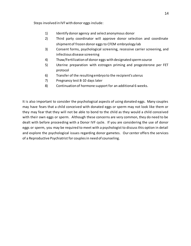Steps involved in IVF with donor eggs include:

- 1) Identify donor agency and select anonymous donor
- 2) Third party coordinator will approve donor selection and coordinate shipment of frozen donor eggs to CFEM embryology lab
- 3) Consent forms, psychological screening, recessive carrier screening, and infectious disease screening
- 4) Thaw/Fertilization of donor eggs with designated sperm source
- 5) Uterine preparation with estrogen priming and progesterone per FET protocol
- 6) Transfer of the resulting embryo to the recipient's uterus
- 7) Pregnancy test 8-10 days later
- 8) Continuation of hormone support for an additional 6 weeks.

It is also important to consider the psychological aspects of using donated eggs. Many couples may have fears that a child conceived with donated eggs or sperm may not look like them or they may fear that they will not be able to bond to the child as they would a child conceived with their own eggs or sperm. Although these concerns are very common, they do need to be dealt with before proceeding with a Donor IVF cycle. If you are considering the use of donor eggs or sperm, you may be required to meet with a psychologist to discuss this option in detail and explore the psychological issues regarding donor gametes. Our center offers the services of a Reproductive Psychiatrist for couples in need of counseling.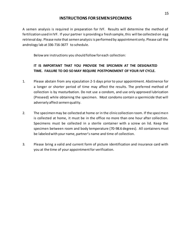#### **INSTRUCTIONS FOR SEMEN SPECIMENS**

A semen analysis is required in preparation for IVF. Results will determine the method of fertilization used in IVF. If your partner is providing a fresh sample, this will be collected on egg retrieval day. Please note that semen analysis is performed by appointment only. Please call the andrology lab at 336-716-3677 to schedule.

Below are instructions you should follow for each collection:

## **IT IS IMPORTANT THAT YOU PROVIDE THE SPECIMEN AT THE DESIGNATED TIME. FAILURE TO DO SO MAY REQUIRE POSTPONEMENT OF YOUR IVF CYCLE.**

- 1. Please abstain from any ejaculation 2-5 days prior to your appointment. Abstinence for a longer or shorter period of time may affect the results. The preferred method of collection is by masturbation. Do not use a condom, and use only approved lubrication (Preseed) while obtaining the specimen. Most condoms contain a spermicide that will adversely affect semen quality.
- 2. The specimen may be collected at home or in the clinic collection room. If the specimen is collected at home, it must be in the office no more than one hour after collection. Specimens must be collected in a sterile container with a screw on lid. Keep the specimen between room and body temperature (70-98.6 degrees). All containers must be labeled with your name, partner's name and time of collection.
- 3. Please bring a valid and current form of picture identification and insurance card with you at the time of your appointment for verification.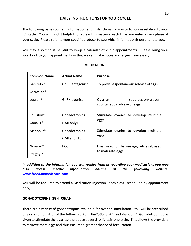## **DAILY INSTRUCTIONS FOR YOUR CYCLE**

The following pages contain information and instructions for you to follow in relation to your IVF cycle. You will find it helpful to review this material each time you enter a new phase of your cycle. Please refer to your specific protocol to see which information is pertinent to you.

You may also find it helpful to keep a calendar of clinic appointments. Please bring your workbook to your appointments so that we can make notes or changes if necessary.

| <b>Common Name</b>     | <b>Actual Name</b>     | <b>Purpose</b>                                                 |  |
|------------------------|------------------------|----------------------------------------------------------------|--|
| Ganirelix <sup>®</sup> | <b>GnRH</b> antagonist | To prevent spontaneous release of eggs                         |  |
| Cetrotide <sup>®</sup> |                        |                                                                |  |
| Lupron <sup>®</sup>    | GnRH agonist           | suppression/prevent<br>Ovarian<br>spontaneous release of eggs  |  |
| Follistim <sup>®</sup> | Gonadotropins          | Stimulate ovaries to develop multiple                          |  |
| Gonal-F <sup>®</sup>   | (FSH only)             | eggs                                                           |  |
| Menopur <sup>®</sup>   | Gonadotropins          | Stimulate ovaries to develop multiple<br>eggs                  |  |
|                        | (FSH and LH)           |                                                                |  |
| Novarel <sup>®</sup>   | hCG                    | Final injection before egg retrieval, used<br>to maturate eggs |  |
| Pregnyl <sup>®</sup>   |                        |                                                                |  |

#### **MEDICATIONS**

*In addition to the information you will receive from us regarding your medications you may also access specific information on-line at the following website:* **[www.freedommedteach.com](http://www.freedommedteach.com/)**

You will be required to attend a Medication Injection Teach class (scheduled by appointment only).

### **GONADOTROPINS (FSH, FSH/LH)**

There are a variety of gonadotropins available for ovarian stimulation. You will be prescribed one or a combination of the following: Follistim®, Gonal-F®, and Menopur®. Gonadotropins are given to stimulate the ovaries to produce several follicles in one cycle. This allows the providers to retrieve more eggs and thus ensures a greater chance of fertilization.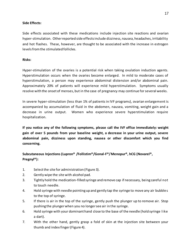#### **Side Effects:**

Side effects associated with these medications include injection site reactions and ovarian hyper-stimulation. Other reported side effects include dizziness, nausea, headaches, irritability and hot flashes. These, however, are thought to be associated with the increase in estrogen levels from the stimulated follicles.

#### **Risks:**

Hyper-stimulation of the ovaries is a potential risk when taking ovulation induction agents. Hyperstimulation occurs when the ovaries become enlarged. In mild to moderate cases of hyperstimulation, a person may experience abdominal distension and/or abdominal pain. Approximately 20% of patients will experience mild hyperstimulation. Symptoms usually resolve with the onset of menses, but in the case of pregnancy may continue for several weeks.

In severe hyper-stimulation (less than 1% of patients in IVF programs), ovarian enlargement is accompanied by accumulation of fluid in the abdomen, nausea, vomiting, weight gain and a decrease in urine output. Women who experience severe hyperstimulation require hospitalization.

**If you notice any of the following symptoms, please call the IVF office immediately: weight gain of over 5 pounds from your baseline weight, a decrease in your urine output, severe abdominal pain, dizziness upon standing, nausea or other discomfort which you find concerning.**

## **Subcutaneous Injections (Lupron® /Follistim®/Gonal-F®/ Menopur®, hCG (Novarel®, Pregnyl®):**

- 1. Select the site for administration (Figure 3).
- 2. Gently wipe the site with alcohol pad.
- 3. Tightly hold the medication-filled syringe and remove cap if necessary, being careful not to touch needle.
- 4. Hold syringe with needle pointing up and gently tap the syringe to move any air bubbles to the top of syringe.
- 5. If there is air in the top of the syringe, gently push the plunger up to remove air. Stop pushing the plunger when you no longer see air in the syringe.
- 6. Hold syringe with your dominant hand close to the base of the needle (hold syringe like a dart).
- 7. With the other hand, gently grasp a fold of skin at the injection site between your thumb and index finger (Figure 4).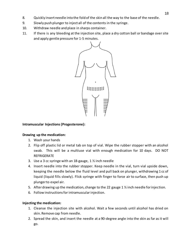- 8. Quickly insert needle into the fold of the skin all the way to the base of the needle.
- 9. Slowly push plunger to inject all of the contents in the syringe.
- 10. Withdraw needle and place in sharps container.
- 11. If there is any bleeding at the injection site, place a dry cotton ball or bandage over site and apply gentle pressure for 1-5 minutes.



#### **Intramuscular Injections (Progesterone):**

#### **Drawing up the medication:**

- 1. Wash your hands
- 2. Flip off plastic lid or metal tab on top of vial. Wipe the rubber stopper with an alcohol swab. This will be a multiuse vial with enough medication for 10 days. DO NOT REFRIGERATE
- 3. Use a 3 cc syringe with an 18-gauge, 1 ½ inch needle
- 4. Insert needle into the rubber stopper. Keep needle in the vial, turn vial upside down, keeping the needle below the fluid level and pull back on plunger, withdrawing 1 cc of liquid (liquid fills slowly). Flick syringe with finger to force air to surface, then push up plunger to expel air.
- 5. After drawing up the medication, change to the 22 gauge 1  $\frac{1}{2}$  inch needle for injection.
- 6. Follow instructions for intramuscular injection.

#### **Injecting the medication:**

- 1. Cleanse the injection site with alcohol. Wait a few seconds until alcohol has dried on skin. Remove cap from needle.
- 2. Spread the skin, and insert the needle at a 90-degree angle into the skin as far as it will go.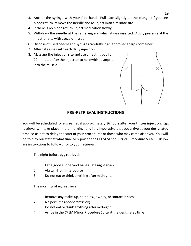- 3. Anchor the syringe with your free hand. Pull back slightly on the plunger; if you see blood return, remove the needle and re-inject in an alternate site.
- 4. If there is no blood return, inject medication slowly.
- 5. Withdraw the needle at the same angle at which it was inserted. Apply pressure at the injection site with gauze or tissue.
- 6. Dispose of used needle and syringes carefully in an approved sharps container.
- 7. Alternate sides with each daily injection.
- 8. Massage the injection site and use a heating pad for 20 minutes after the injection to help with absorption into the muscle.



## **PRE-RETRIEVAL INSTRUCTIONS**

You will be scheduled for egg retrieval approximately 36 hours after your trigger injection. Egg retrieval will take place in the morning, and it is imperative that you arrive at your designated time so as not to delay the start of your procedures or those who may come after you. You will be told by our staff at what time to report to the CFEM Minor Surgical Procedure Suite. Below are instructions to follow prior to your retrieval.

The night before egg retrieval:

- 1. Eat a good supper and have a late night snack
- 2. Abstain from intercourse
- 3. Do not eat or drink anything after midnight.

The morning of egg retrieval:

- 1. Remove any make-up, hair pins, jewelry, or contact lenses
- 2. No perfume (deodorant is ok)
- 3. Do not eat or drink anything after midnight
- 4. Arrive in the CFEM Minor Procedure Suite at the designated time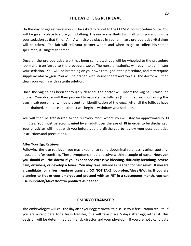#### **THE DAY OF EGG RETRIEVAL**

On the day of egg retrieval you will be asked to report to the CFEM Minor Procedure Suite. You will be given a place to store your clothing. The nurse anesthetist will talk with you and discuss your sedation at that time. An IV will also be placed in your arm, and pre-operative vital signs will be taken. The lab will tell your partner where and when to go to collect his semen specimen, if using fresh semen.

Once all the pre-operative work has been completed, you will be wheeled to the procedure room and transferred to the procedure table. The nurse anesthetist will begin to administer your sedation. You will be breathing on your own throughout the procedure, and may require supplemental oxygen. You will be draped with sterile sheets and towels. The doctor will then clean your vagina with a sterile solution.

Once the vagina has been thoroughly cleaned, the doctor will insert the vaginal ultrasound probe. Your doctor will then proceed to aspirate the follicles (fluid filled sacs containing the eggs). Lab personnel will be present for identification of the eggs. After all the follicles have been drained, the nurse anesthetist will begin to withdraw your sedation.

You will then be transferred to the recovery room where you will stay for approximate ly 30 minutes. **You must be accompanied by an adult over the age of 18 in order to be discharged.**  Your physician will meet with you before you are discharged to review your post-operative instructions and precautions.

#### **After Your Egg Retrieval**

Following the egg retrieval, you may experience some abdominal soreness, vaginal spotting, nausea and/or vomiting. These symptoms should resolve within a couple of days. **However, you should call the doctor if you experience excessive bleeding, difficulty breathing, severe pain, dizziness, or develop a fever. You may take Tylenol as needed for pain relief. If you are a candidate for a fresh embryo transfer, DO NOT TAKE Ibuprofen/Aleve/Motrin. If you are planning to freeze your embryos and proceed with an FET in a subsequent month, you can use Ibuprofen/Aleve/Motrin products as needed.** 

#### **EMBRYO TRANSFER**

The embryologist will call the day after your egg retrieval to discuss your fertilization results. If you are a candidate for a fresh transfer, this will take place 5 days after egg retrieval. This decision will be determined by the lab director and your physician. If you are not a candidate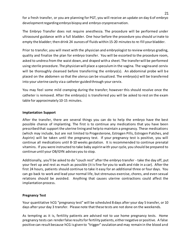for a fresh transfer, or you are planning for PGT, you will receive an update on day 6 of embryo development regarding embryo biopsy and embryo cryopreservation.

The Embryo Transfer does not require anesthesia. The procedure will be performed under ultrasound guidance with a full bladder. One hour before the procedure you should urinate to empty the bladder; then drink 24 ounces of fluids within 15-20 minutes to re-fill your bladder.

Prior to transfer, you will meet with the physician and embryologist to review embryo grading, quality and finalize the plan for embryo transfer. You will be escorted to the procedure room, asked to undress from the waist down, and draped with a sheet. The transfer will be performed using sterile procedure. The physician will place a speculum in the vagina. The vagina and cervix will be thoroughly cleansed before transferring the embryo(s). An abdominal probe will be placed on the abdomen so that the uterus can be visualized. The embryo(s) will be transferred into your uterine cavity via a catheter guided through your cervix.

You may feel some mild cramping during the transfer; however this should resolve once the catheter is removed. After the embryo(s) is transferred you will be asked to rest on the exam table for approximately 10-15 minutes.

#### **Implantation Support**

After the transfer, there are several things you can do to help the embryo have the best possible chance of implanting. The first is to continue any medications that you have been prescribed that support the uterine lining and help to maintain a pregnancy. These medications (which may include, but are not limited to Progesterone, Estrogen Pills, Estrogen Patches, and Aspirin) will be taken until the pregnancy test. If your pregnancy test is positive, you will continue all medications until 8-10 weeks gestation. It is recommended to continue prenatal vitamins. If you were instructed to take baby aspirin with your cycle, you should be prepared to continue until your OB/GYN advises you to stop.

Additionally, you'll be asked to do "couch rest" after the embryo transfer - take the day off, put your feet up and rest as much as possible (it is fine for you to walk and ride in a car). After the first 24 hours, patients should continue to take it easy for an additional three or four days. You can go back to work and lead your normal life, but strenuous exercise, chores, and even sexual relations should be avoided. Anything that causes uterine contractions could affect the implantation process.

#### **Pregnancy Test**

Your quantitative hCG "pregnancy test" will be scheduled 8 days after your day 5 transfer, or 10 days after your day 3 transfer. Please note that these tests are not done on the weekends.

As tempting as it is, fertility patients are advised not to use home pregnancy tests. Home pregnancy tests can render false results for fertility patients, either negative or positive. A false positive can result because hCG is given to "trigger" ovulation and may remain in the blood and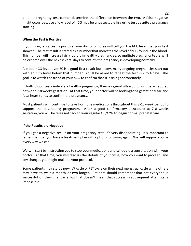a home pregnancy test cannot determine the difference between the two. A false negative might occur because a low level of hCG may be undetectable in a urine test despite a pregnancy starting.

#### **When the Test is Positive**

If your pregnancy test is positive, your doctor or nurse will tell you the hCG level that your test showed. The test result is stated as a number that indicates the level of hCG found in the blood. This number will increase fairly rapidly in healthy pregnancies, so multiple pregnancy tests will be ordered over the next several days to confirm the pregnancy is developing normally.

A blood hCG level over 50 is a good first result but many, many ongoing pregnancies start out with an hCG level below that number. You'll be asked to repeat the test in 2 to 4 days. The goal is to watch the trend of your hCG to confirm that it is rising appropriately.

If both blood tests indicate a healthy pregnancy, then a vaginal ultrasound wi ll be scheduled between 7-8 weeks gestation. At that time, your doctor will be looking for a gestational sac and fetal heart tones to confirm the pregnancy.

Most patients will continue to take hormone medications throughout this 8-10 week period to support the developing pregnancy. After a good confirmatory ultrasound at 7-8 weeks gestation, you will be released back to your regular OB/GYN to begin normal prenatal care.

#### **If the Results are Negative**

If you get a negative result on your pregnancy test, it's very disappointing. It's important to remember that you have a treatment plan with options for trying again. We will support you in every way we can.

We will start by instructing you to stop your medications and schedule a consultation with your doctor. At that time, you will discuss the details of your cycle, how you want to proceed, and any changes you might make to your protocol.

Some patients may start a new IVF cycle or FET cycle on their next menstrual cycle while others may have to wait a month or two longer. Patients should remember that not everyone is successful on their first cycle but that doesn't mean that success in subsequent attempts is impossible.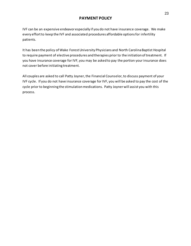## **PAYMENT POLICY**

IVF can be an expensive endeavor especially if you do not have insurance coverage. We make every effort to keep the IVF and associated procedures affordable options for infertility patients.

It has been the policy of Wake Forest University Physicians and North Carolina Baptist Hospital to require payment of elective procedures and therapies prior to the initiation of treatment. If you have insurance coverage for IVF, you may be asked to pay the portion your insurance does not cover before initiating treatment.

All couples are asked to call Patty Joyner, the Financial Counselor, to discuss payment of your IVF cycle. If you do not have insurance coverage for IVF, you will be asked to pay the cost of the cycle prior to beginning the stimulation medications. Patty Joyner will assist you with this process.